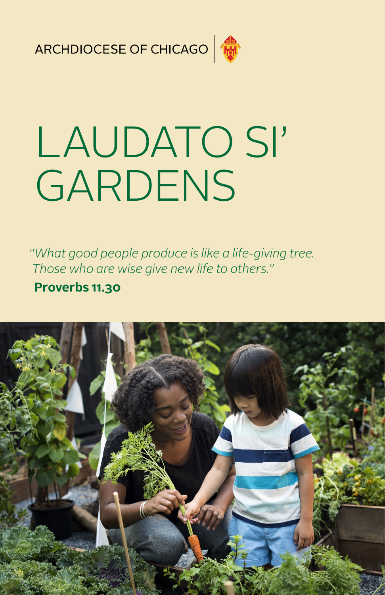ARCHDIOCESE OF CHICAGO



# LAUDATO SI' GARDENS

*"What good people produce is like a life-giving tree. Those who are wise give new life to others."*

#### **Proverbs 11.30**

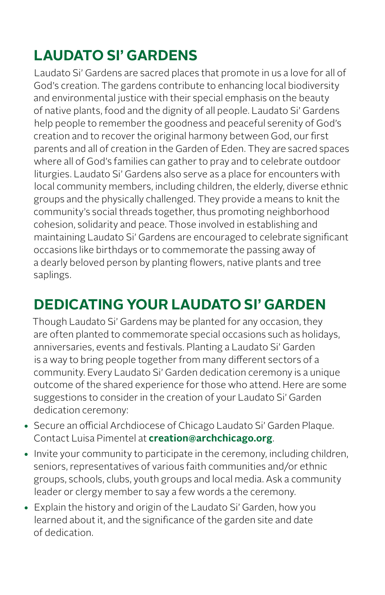# **LAUDATO SI' GARDENS**

Laudato Si' Gardens are sacred places that promote in us a love for all of God's creation. The gardens contribute to enhancing local biodiversity and environmental justice with their special emphasis on the beauty of native plants, food and the dignity of all people. Laudato Si' Gardens help people to remember the goodness and peaceful serenity of God's creation and to recover the original harmony between God, our first parents and all of creation in the Garden of Eden. They are sacred spaces where all of God's families can gather to pray and to celebrate outdoor liturgies. Laudato Si' Gardens also serve as a place for encounters with local community members, including children, the elderly, diverse ethnic groups and the physically challenged. They provide a means to knit the community's social threads together, thus promoting neighborhood cohesion, solidarity and peace. Those involved in establishing and maintaining Laudato Si' Gardens are encouraged to celebrate significant occasions like birthdays or to commemorate the passing away of a dearly beloved person by planting flowers, native plants and tree saplings.

#### **DEDICATING YOUR LAUDATO SI' GARDEN**

Though Laudato Si' Gardens may be planted for any occasion, they are often planted to commemorate special occasions such as holidays, anniversaries, events and festivals. Planting a Laudato Si' Garden is a way to bring people together from many different sectors of a community. Every Laudato Si' Garden dedication ceremony is a unique outcome of the shared experience for those who attend. Here are some suggestions to consider in the creation of your Laudato Si' Garden dedication ceremony:

- **•** Secure an official Archdiocese of Chicago Laudato Si' Garden Plaque. Contact Luisa Pimentel at **[creation@archchicago.org](mailto:creation%40archchicago.org?subject=)**.
- **•** Invite your community to participate in the ceremony, including children, seniors, representatives of various faith communities and/or ethnic groups, schools, clubs, youth groups and local media. Ask a community leader or clergy member to say a few words a the ceremony.
- **•** Explain the history and origin of the Laudato Si' Garden, how you learned about it, and the significance of the garden site and date of dedication.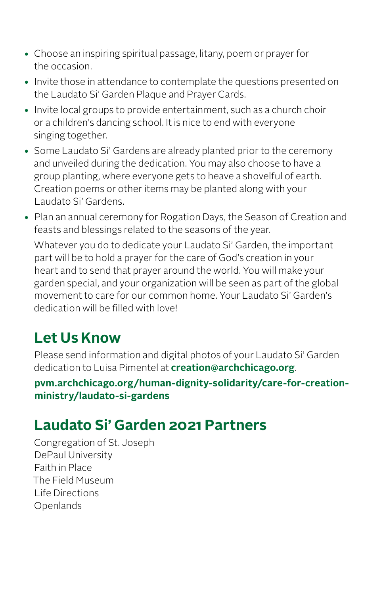- **•** Choose an inspiring spiritual passage, litany, poem or prayer for the occasion.
- **•** Invite those in attendance to contemplate the questions presented on the Laudato Si' Garden Plaque and Prayer Cards.
- **•** Invite local groups to provide entertainment, such as a church choir or a children's dancing school. It is nice to end with everyone singing together.
- **•** Some Laudato Si' Gardens are already planted prior to the ceremony and unveiled during the dedication. You may also choose to have a group planting, where everyone gets to heave a shovelful of earth. Creation poems or other items may be planted along with your Laudato Si' Gardens.
- **•** Plan an annual ceremony for Rogation Days, the Season of Creation and feasts and blessings related to the seasons of the year.

Whatever you do to dedicate your Laudato Si' Garden, the important part will be to hold a prayer for the care of God's creation in your heart and to send that prayer around the world. You will make your garden special, and your organization will be seen as part of the global movement to care for our common home. Your Laudato Si' Garden's dedication will be filled with love!

## **Let Us Know**

Please send information and digital photos of your Laudato Si' Garden dedication to Luisa Pimentel at **[creation@archchicago.org](mailto:creation%40archchicago.org?subject=)**.

**[pvm.archchicago.org/human-dignity-solidarity/care-for-creation](https://pvm.archchicago.org/human-dignity-solidarity/care-for-creation-ministry/laudato-si-gardens)[ministry/laudato-si-gardens](https://pvm.archchicago.org/human-dignity-solidarity/care-for-creation-ministry/laudato-si-gardens)**

## **Laudato Si' Garden 2021 Partners**

Congregation of St. Joseph DePaul University Faith in Place The Field Museum Life Directions Openlands